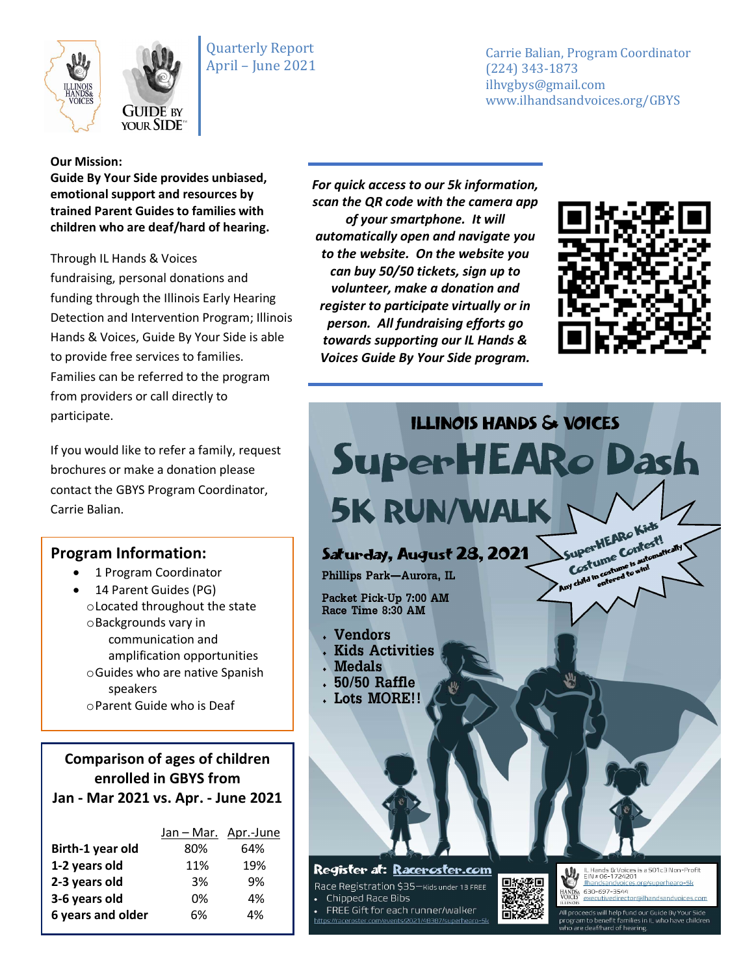



Carrie Balian, Program Coordinator (224) 343-1873 ilhvgbys@gmail.com www.ilhandsandvoices.org/GBYS

#### **Our Mission:**

**Guide By Your Side provides unbiased, emotional support and resources by trained Parent Guides to families with children who are deaf/hard of hearing.** 

Through IL Hands & Voices fundraising, personal donations and funding through the Illinois Early Hearing Detection and Intervention Program; Illinois Hands & Voices, Guide By Your Side is able to provide free services to families. Families can be referred to the program from providers or call directly to participate.

If you would like to refer a family, request brochures or make a donation please contact the GBYS Program Coordinator, Carrie Balian.

### **Program Information:**

- 1 Program Coordinator
- 14 Parent Guides (PG) oLocated throughout the state oBackgrounds vary in communication and amplification opportunities oGuides who are native Spanish speakers oParent Guide who is Deaf

**Comparison of ages of children enrolled in GBYS from Jan - Mar 2021 vs. Apr. - June 2021**

| Jan - Mar. Apr.-June |     |
|----------------------|-----|
| 80%                  | 64% |
| 11%                  | 19% |
| 3%                   | 9%  |
| 0%                   | 4%  |
| 6%                   | 4%  |
|                      |     |

*For quick access to our 5k information, scan the QR code with the camera app of your smartphone. It will automatically open and navigate you to the website. On the website you can buy 50/50 tickets, sign up to volunteer, make a donation and register to participate virtually or in person. All fundraising efforts go towards supporting our IL Hands & Voices Guide By Your Side program.*

//raceroster.com/events/2021/48387/superheard



leaf/hard of hearing

**ILLINOIS HANDS & VOICES** SuperHEARo Dash 5K RUN/WALK SuperHEARo Kids SuperHEARO Krost Saturday, August 28, 2021 my child in costs Phillips Park-Aurora, IL Packet Pick-Up 7:00 AM Race Time 8:30 AM . Vendors . Kids Activities . Medals . 50/50 Raffle . Lots MORE!! Register at: Raceroster.com IL Hands & Voices is a 501c3 Non-Profit<br>EIN # 06-1724201 回線祭回 Ilhandsandvoices.org/superhearo-Sk Race Registration \$35-Kids under 13 FREE HANDS« 630-697-3544<br>VOICES executivedirector@ilhandsandvoices.com Chipped Race Bibs FREE Gift for each runner/walker Пī